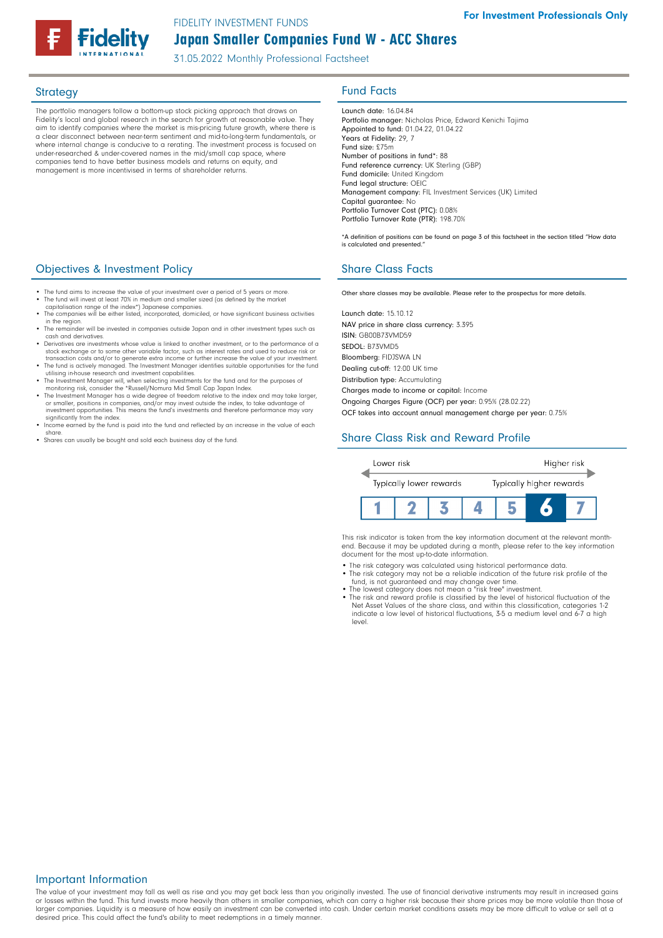FIDELITY INVESTMENT FUNDS

Japan Smaller Companies Fund W - ACC Shares

31.05.2022 Monthly Professional Factsheet

The portfolio managers follow a bottom-up stock picking approach that draws on Fidelity's local and global research in the search for growth at reasonable value. They aim to identify companies where the market is mis-pricing future growth, where there is a clear disconnect between near-term sentiment and mid-to-long-term fundamentals, or where internal change is conducive to a rerating. The investment process is focused on under-researched & under-covered names in the mid/small cap space, where companies tend to have better business models and returns on equity, and management is more incentivised in terms of shareholder returns.

# Strategy **Fund Facts**

Launch date: 16.04.84 Portfolio manager: Nicholas Price, Edward Kenichi Tajima Appointed to fund: 01.04.22, 01.04.22 Years at Fidelity: 29, 7 Fund size: £75m Number of positions in fund\*: 88 Fund reference currency: UK Sterling (GBP) Fund domicile: United Kingdom Fund legal structure: OEIC Management company: FIL Investment Services (UK) Limited Capital guarantee: No Portfolio Turnover Cost (PTC): 0.08% Portfolio Turnover Rate (PTR): 198.70%

\*A definition of positions can be found on page 3 of this factsheet in the section titled "How data is calculated and presented."

Other share classes may be available. Please refer to the prospectus for more details.

Launch date: 15.10.12 NAV price in share class currency: 3.395 ISIN: GB00B73VMD59 SEDOL: B73VMD5 Bloomberg: FIDJSWA LN Dealing cut-off: 12:00 UK time Distribution type: Accumulating

Charges made to income or capital: Income

Ongoing Charges Figure (OCF) per year: 0.95% (28.02.22) OCF takes into account annual management charge per year: 0.75%

# Share Class Risk and Reward Profile



This risk indicator is taken from the key information document at the relevant monthend. Because it may be updated during a month, please refer to the key information document for the most up-to-date information.

- The risk category was calculated using historical performance data.
- The risk category may not be a reliable indication of the future risk profile of the fund, is not guaranteed and may change over time.
- 
- The lowest category does not mean a "risk free" investment. The risk and reward profile is classified by the level of historical fluctuation of the Net Asset Values of the share class, and within this classification, categories 1-2 indicate a low level of historical fluctuations, 3-5 a medium level and 6-7 a high level.

### **Objectives & Investment Policy Share Class Facts** Share Class Facts

- The fund aims to increase the value of your investment over a period of 5 years or more.
- The fund will invest at least 70% in medium and smaller sized (as defined by the market capitalisation range of the index\*) Japanese companies. • The companies will be either listed, incorporated, domiciled, or have significant business activities
- in the region. The remainder will be invested in companies outside Japan and in other investment types such as cash and derivatives.
- Derivatives are investments whose value is linked to another investment, or to the performance of a stock exchange or to some other variable factor, such as interest rates and used to reduce risk or
- transaction costs and/or to generate extra income or further increase the value of your investment. The fund is actively managed. The Investment Manager identifies suitable opportunities for the fund
- utilising in-house research and investment capabilities.
- The Investment Manager will, when selecting investments for the fund and for the purposes of monitoring risk, consider the \*Russell/Nomura Mid Small Cap Japan Index.
- The Investment Manager has a wide degree of freedom relative to the index and may take larger,<br>or smaller, positions in companies, and/or may invest outside the index, to take advantage of<br>investment opportunities. This significantly from the index.
- Income earned by the fund is paid into the fund and reflected by an increase in the value of each share.
- Shares can usually be bought and sold each business day of the fund.

### Important Information

The value of your investment may fall as well as rise and you may get back less than you originally invested. The use of financial derivative instruments may result in increased gains<br>or losses within the fund. This fund i larger companies. Liquidity is a measure of how easily an investment can be converted into cash. Under certain market conditions assets may be more difficult to value or sell at a desired price. This could affect the fund's ability to meet redemptions in a timely manner.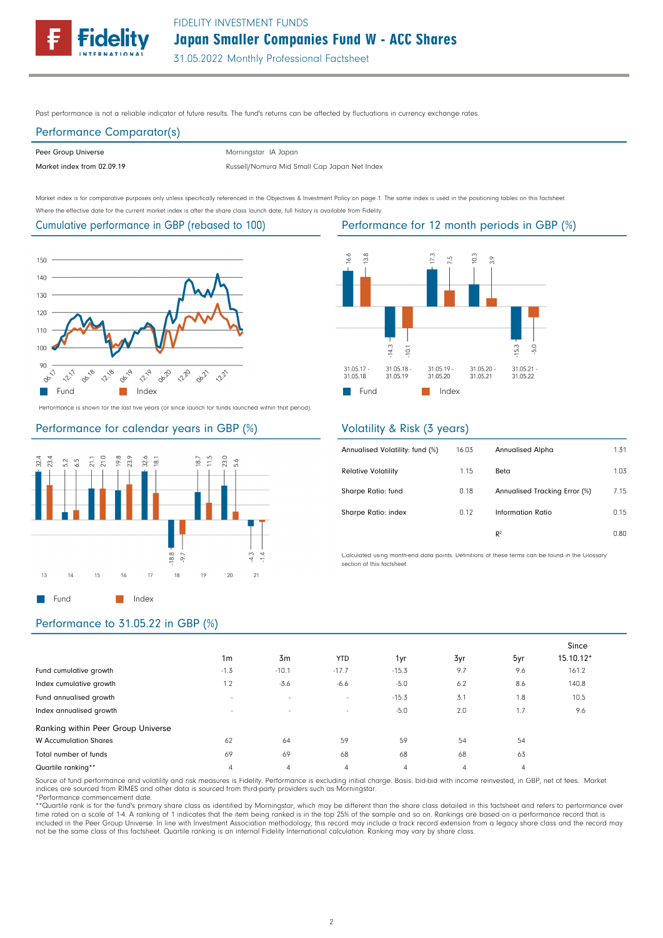

Past performance is not a reliable indicator of future results. The fund's returns can be affected by fluctuations in currency exchange rates.

# Performance Comparator(s)

Peer Group Universe

Morningstar IA Japan

Market index from 02.09.19 **Russell/Nomura Mid Small Cap Japan Net Index** 

Market index is for comparative purposes only unless specifically referenced in the Objectives & Investment Policy on page 1. The same index is used in the positioning tables on this factsheet. Where the effective date for the current market index is after the share class launch date, full history is available from Fidelity.

### Cumulative performance in GBP (rebased to 100)



Performance is shown for the last five years (or since launch for funds launched within that period).

### Performance for calendar years in GBP (%)



# Performance for 12 month periods in GBP (%)



### Volatility & Risk (3 years)

| Annualised Volatility: fund (%) | 16.03 | Annualised Alpha              | 1.31 |
|---------------------------------|-------|-------------------------------|------|
| <b>Relative Volatility</b>      | 1.15  | Beta                          | 1.03 |
| Sharpe Ratio: fund              | 0.18  | Annualised Tracking Error (%) | 7.15 |
| Sharpe Ratio: index             | 0.12  | Information Ratio             | 0.15 |
|                                 |       | R <sup>2</sup>                | 0.80 |

Calculated using month-end data points. Definitions of these terms can be found in the Glossary section of this factsheet.

### Performance to 31.05.22 in GBP (%)

|                                    |                          |                |                |                |                |                | Since     |
|------------------------------------|--------------------------|----------------|----------------|----------------|----------------|----------------|-----------|
|                                    | 1 <sub>m</sub>           | 3m             | <b>YTD</b>     | 1yr            | 3yr            | 5yr            | 15.10.12* |
| Fund cumulative growth             | $-1.3$                   | $-10.1$        | $-17.7$        | $-15.3$        | 9.7            | 9.6            | 161.2     |
| Index cumulative growth            | 1.2                      | $-3.6$         | $-6.6$         | $-5.0$         | 6.2            | 8.6            | 140.8     |
| Fund annualised growth             | $\overline{\phantom{a}}$ | $\sim$         | $\sim$         | $-15.3$        | 3.1            | 1.8            | 10.5      |
| Index annualised growth            | $\overline{\phantom{a}}$ | $\sim$         | $\sim$         | $-5.0$         | 2.0            | 1.7            | 9.6       |
| Ranking within Peer Group Universe |                          |                |                |                |                |                |           |
| <b>W</b> Accumulation Shares       | 62                       | 64             | 59             | 59             | 54             | 54             |           |
| Total number of funds              | 69                       | 69             | 68             | 68             | 68             | 63             |           |
| Quartile ranking**                 | 4                        | $\overline{4}$ | $\overline{4}$ | $\overline{4}$ | $\overline{4}$ | $\overline{4}$ |           |

Source of fund performance and volatility and risk measures is Fidelity. Performance is excluding initial charge. Basis: bid-bid with income reinvested, in GBP, net of fees. Market indices are sourced from RIMES and other data is sourced from third-party providers such as Morningstar.

\*Performance commencement date.

\*\*Quartile rank is for the fund's primary share class as identified by Morningstar, which may be different than the share class detailed in this factsheet and refers to performance over time rated on a scale of 1-4. A ranking of 1 indicates that the item being ranked is in the top 25% of the sample and so on. Rankings are based on a performance record that is<br>included in the Peer Group Universe. In line w not be the same class of this factsheet. Quartile ranking is an internal Fidelity International calculation. Ranking may vary by share class.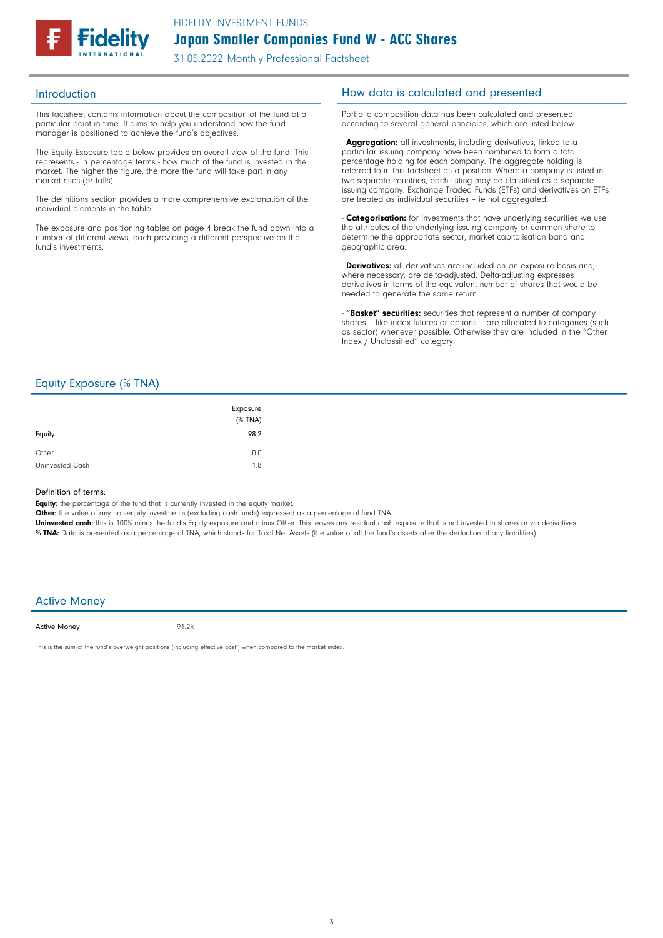

This factsheet contains information about the composition of the fund at a particular point in time. It aims to help you understand how the fund manager is positioned to achieve the fund's objectives.

The Equity Exposure table below provides an overall view of the fund. This represents - in percentage terms - how much of the fund is invested in the market. The higher the figure, the more the fund will take part in any market rises (or falls).

The definitions section provides a more comprehensive explanation of the individual elements in the table.

The exposure and positioning tables on page 4 break the fund down into a number of different views, each providing a different perspective on the fund's investments.

### Introduction **Introduction How data is calculated and presented**

Portfolio composition data has been calculated and presented according to several general principles, which are listed below.

- **Aggregation:** all investments, including derivatives, linked to a particular issuing company have been combined to form a total percentage holding for each company. The aggregate holding is referred to in this factsheet as a position. Where a company is listed in two separate countries, each listing may be classified as a separate issuing company. Exchange Traded Funds (ETFs) and derivatives on ETFs are treated as individual securities – ie not aggregated.

**Categorisation:** for investments that have underlying securities we use the attributes of the underlying issuing company or common share to determine the appropriate sector, market capitalisation band and geographic area.

- **Derivatives:** all derivatives are included on an exposure basis and, where necessary, are delta-adjusted. Delta-adjusting expresses derivatives in terms of the equivalent number of shares that would be needed to generate the same return.

"Basket" securities: securities that represent a number of company shares - like index futures or options - are allocated to categories (such as sector) whenever possible. Otherwise they are included in the "Other Index / Unclassified" category.

### Equity Exposure (% TNA)

| Equity          | Exposure<br>$(%$ (% TNA)<br>98.2 |
|-----------------|----------------------------------|
| Other           | 0.0                              |
| Uninvested Cash | 1.8                              |

### Definition of terms:

Equity: the percentage of the fund that is currently invested in the equity market.

Other: the value of any non-equity investments (excluding cash funds) expressed as a percentage of fund TNA.

Uninvested cash: this is 100% minus the fund's Equity exposure and minus Other. This leaves any residual cash exposure that is not invested in shares or via derivatives. % TNA: Data is presented as a percentage of TNA, which stands for Total Net Assets (the value of all the fund's assets after the deduction of any liabilities).

### Active Money

Active Money

91.2%

This is the sum of the fund's overweight positions (including effective cash) when compared to the market index.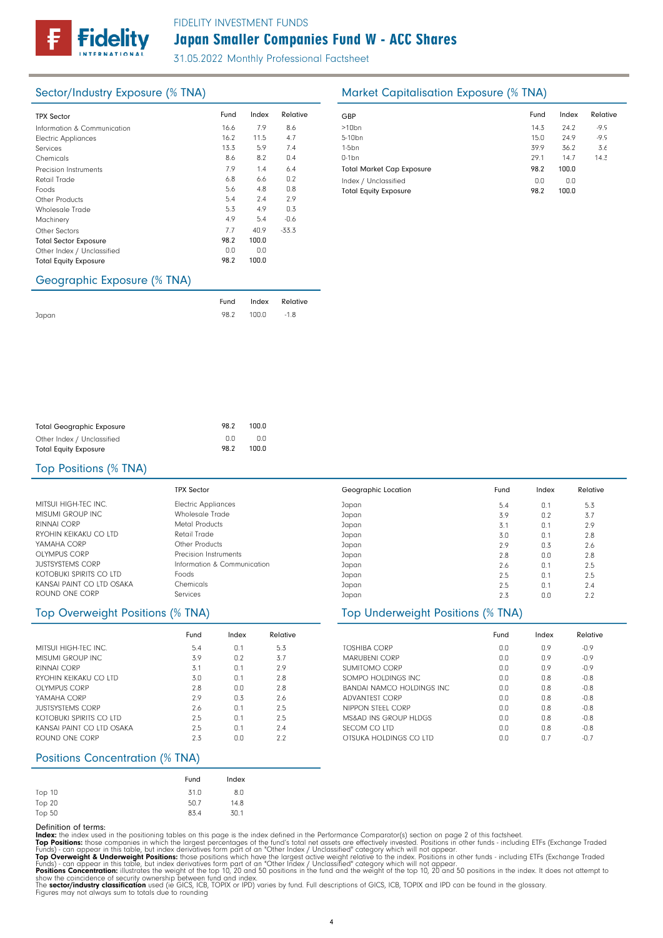# Japan Smaller Companies Fund W - ACC Shares FIDELITY INVESTMENT FUNDS

31.05.2022 Monthly Professional Factsheet

| <b>TPX Sector</b>            | Fund | Index | Relative | GBP              |
|------------------------------|------|-------|----------|------------------|
| Information & Communication  | 16.6 | 7.9   | 8.6      | >10 <sub>k</sub> |
| <b>Electric Appliances</b>   | 16.2 | 11.5  | 4.7      | $5 - 10$         |
| Services                     | 13.3 | 5.9   | 7.4      | $1-5b$           |
| Chemicals                    | 8.6  | 8.2   | 0.4      | $0-1b$           |
| Precision Instruments        | 7.9  | 1.4   | 6.4      | Tota             |
| Retail Trade                 | 6.8  | 6.6   | 0.2      | Inde             |
| Foods                        | 5.6  | 4.8   | 0.8      | Tota             |
| Other Products               | 5.4  | 2.4   | 2.9      |                  |
| <b>Wholesale Trade</b>       | 5.3  | 4.9   | 0.3      |                  |
| Machinery                    | 4.9  | 5.4   | $-0.6$   |                  |
| Other Sectors                | 7.7  | 40.9  | $-33.3$  |                  |
| <b>Total Sector Exposure</b> | 98.2 | 100.0 |          |                  |
| Other Index / Unclassified   | 0.0  | 0.0   |          |                  |
| <b>Total Equity Exposure</b> | 98.2 | 100.0 |          |                  |

# Sector/Industry Exposure (% TNA) Market Capitalisation Exposure (% TNA)

| GBP                                                  | Fund        | Index        | Relative |
|------------------------------------------------------|-------------|--------------|----------|
| $>10$ bn                                             | 14.3        | 24.2         | $-9.9$   |
| 5-10 <sub>bn</sub>                                   | 15.0        | 24.9         | $-9.9$   |
| $1-5$ bn                                             | 39.9        | 36.2         | 3.6      |
| $0-1$ bn                                             | 29.1        | 14.7         | 14.3     |
| <b>Total Market Cap Exposure</b>                     | 98.2        | 100.0        |          |
| Index / Unclassified<br><b>Total Equity Exposure</b> | 0.0<br>98.2 | 0.0<br>100.0 |          |

# Geographic Exposure (% TNA)

|       |                 | Fund Index Relative |
|-------|-----------------|---------------------|
| Japan | 98.2 100.0 -1.8 |                     |

| <b>Total Geographic Exposure</b> | 98.2 | 100.0 |
|----------------------------------|------|-------|
| Other Index / Unclassified       | n n  | n n   |
| <b>Total Equity Exposure</b>     | 98.2 | 100.0 |

### Top Positions (% TNA)

|                           | TPX Sector                  |
|---------------------------|-----------------------------|
| MITSULHIGH-TEC INC.       | <b>Electric Appliances</b>  |
| <b>MISUMI GROUP INC</b>   | Wholesale Trade             |
| RINNAI CORP               | Metal Products              |
| RYOHIN KFIKAKU CO LTD     | Retail Trade                |
| YAMAHA CORP               | Other Products              |
| OLYMPUS CORP              | Precision Instruments       |
| <b>JUSTSYSTEMS CORP</b>   | Information & Communication |
| KOTOBUKI SPIRITS CO LTD   | Foods                       |
| KANSAI PAINT CO LTD OSAKA | Chemicals                   |
| ROUND ONE CORP            | Services                    |

|                           | Fund | Index | Relative |
|---------------------------|------|-------|----------|
| MITSULHIGH-TFC INC.       | 5.4  | 0.1   | 5.3      |
| MISUMI GROUP INC.         | 3.9  | 0.2   | 3.7      |
| RINNAL CORP               | 3.1  | 0.1   | 2.9      |
| RYOHIN KEIKAKLI CO LTD    | 3.0  | 0.1   | 2.8      |
| OLYMPUS CORP              | 2.8  | 0.0   | 2.8      |
| YAMAHA CORP               | 2.9  | 0.3   | 2.6      |
| <b>JUSTSYSTEMS CORP</b>   | 2.6  | 0.1   | 2.5      |
| KOTOBUKI SPIRITS CO LTD   | 2.5  | 0.1   | 2.5      |
| KANSAI PAINT CO LTD OSAKA | 2.5  | 0.1   | 7.4      |
| ROUND ONE CORP            | 2.3  | 0.0   | 2.2      |

# Positions Concentration (% TNA)

|        | Fund | Index |
|--------|------|-------|
| Top 10 | 31.0 | 8.0   |
| Top 20 | 50.7 | 14.8  |
| Top 50 | 83.4 | 30.1  |

### Japan Japan Japan Japan Japan Japan Japan Japan Japan Japan Geographic Location 0.1 0.2 0.1 0.1 0.3 0.0 0.1 0.1 0.1  $0.0$ Fund Index Relative 5.4 3.9 3.1 3.0 2.9 2.8 2.6 2.5 2.5  $2.3$ 5.3 3.7 2.9 2.8 2.6 2.8 2.5 2.5 2.4  $2.2$

### Top Overweight Positions (% TNA) Top Underweight Positions (% TNA)

|                                   | Fund | Index | Relative |
|-----------------------------------|------|-------|----------|
| <b>TOSHIRA CORP</b>               | 0.0  | 0.9   | $-0.9$   |
| <b>MARUBENI CORP</b>              | 0.0  | 0.9   | $-0.9$   |
| SUMITOMO CORP                     | 0.0  | 0.9   | $-0.9$   |
| SOMPO HOLDINGS INC.               | 0.0  | 0.8   | $-0.8$   |
| <b>RANDAL NAMCO HOLDINGS INC.</b> | 0.0  | 0.8   | $-0.8$   |
| ADVANTEST CORP                    | 0.0  | 0.8   | $-0.8$   |
| NIPPON STFFL CORP                 | 0.0  | 0.8   | $-0.8$   |
| MS&AD INS GROUP HLDGS             | 0.0  | 0.8   | $-0.8$   |
| SECOM CO LTD                      | 0.0  | 0.8   | $-0.8$   |
| OTSUKA HOLDINGS CO LTD            | 0.0  | n 7   | $-0.7$   |

Definition of terms:<br>
Top Positions: these din the positioning tables on this page is the index defined in the Performance Comparator(s) section on page 2 of this factsheet.<br>
ITOP Positions: those companies in which the la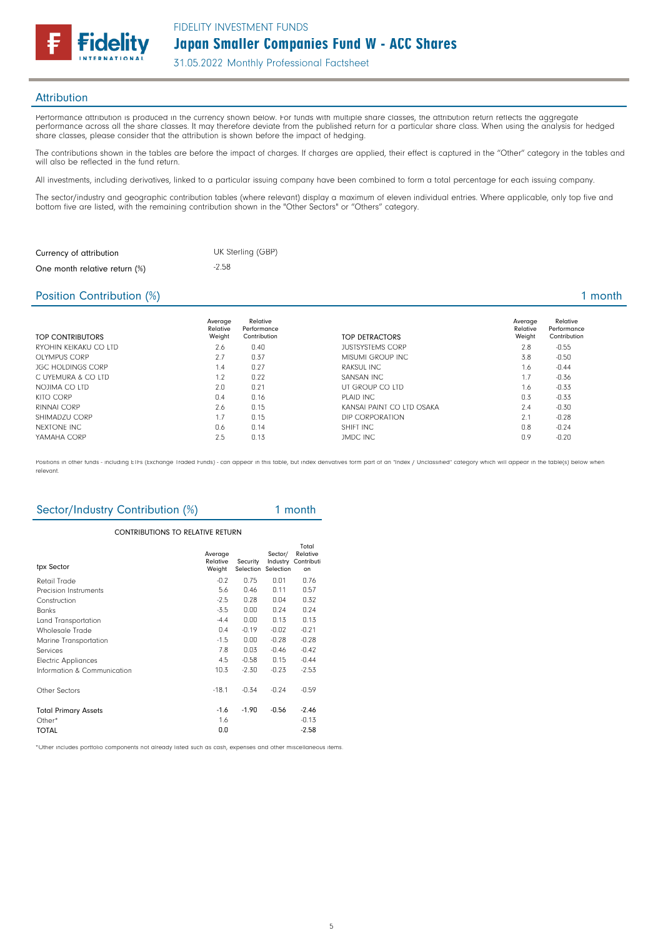

### **Attribution**

Performance attribution is produced in the currency shown below. For funds with multiple share classes, the attribution return reflects the aggregate performance across all the share classes. It may therefore deviate from the published return for a particular share class. When using the analysis for hedged share classes, please consider that the attribution is shown before the impact of hedging.

The contributions shown in the tables are before the impact of charges. If charges are applied, their effect is captured in the "Other" category in the tables and will also be reflected in the fund return.

All investments, including derivatives, linked to a particular issuing company have been combined to form a total percentage for each issuing company.

The sector/industry and geographic contribution tables (where relevant) display a maximum of eleven individual entries. Where applicable, only top five and bottom five are listed, with the remaining contribution shown in the "Other Sectors" or "Others" category.

| Currency of attribution       | UK Sterling (GBP) |
|-------------------------------|-------------------|
| One month relative return (%) | $-2.58$           |

### Position Contribution (%) 2 and 2 and 2 and 2 and 2 and 2 and 2 and 2 and 2 and 2 and 2 and 2 and 2 and 2 and 2 and 2 and 2 and 2 and 2 and 2 and 2 and 2 and 2 and 2 and 2 and 2 and 2 and 2 and 2 and 2 and 2 and 2 and 2 an

| <b>TOP CONTRIBUTORS</b>  | Average<br>Relative<br>Weight | Relative<br>Performance<br>Contribution | TOP DETRACTORS            | Average<br>Relative<br>Weight | Relative<br>Performance<br>Contribution |
|--------------------------|-------------------------------|-----------------------------------------|---------------------------|-------------------------------|-----------------------------------------|
| RYOHIN KFIKAKU CO LTD    | 2.6                           | 0.40                                    | <b>JUSTSYSTEMS CORP</b>   | 2.8                           | $-0.55$                                 |
| <b>OLYMPUS CORP</b>      | 2.7                           | 0.37                                    | MISUMI GROUP INC          | 3.8                           | $-0.50$                                 |
| <b>JGC HOLDINGS CORP</b> | 1.4                           | 0.27                                    | RAKSUL INC                | 1.6                           | $-0.44$                                 |
| C UYEMURA & CO LTD       | 1.2                           | 0.22                                    | SANSAN INC                | 1.7                           | $-0.36$                                 |
| NOJIMA CO LTD            | 2.0                           | 0.21                                    | UT GROUP CO LTD           | 1.6                           | $-0.33$                                 |
| <b>KITO CORP</b>         | 0.4                           | 0.16                                    | PLAID INC                 | 0.3                           | $-0.33$                                 |
| RINNAI CORP              | 2.6                           | 0.15                                    | KANSAI PAINT CO LTD OSAKA | 2.4                           | $-0.30$                                 |
| SHIMADZU CORP            | 1.7                           | 0.15                                    | DIP CORPORATION           | 2.1                           | $-0.28$                                 |
| NEXTONE INC              | 0.6                           | 0.14                                    | SHIFT INC                 | 0.8                           | $-0.24$                                 |
| YAMAHA CORP              | 2.5                           | 0.13                                    | <b>JMDC INC</b>           | 0.9                           | $-0.20$                                 |

Positions in other funds - including ETFs (Exchange Traded Funds) - can appear in this table, but index derivatives form part of an "Index / Unclassified" category which will appear in the table(s) below when relevant.

# Sector/Industry Contribution (%) 1 month

### CONTRIBUTIONS TO RELATIVE RETURN

| tpx Sector                  | Average<br>Relative<br>Weight | Security<br>Selection | Sector/<br>Selection | Total<br>Relative<br>Industry Contributi<br>on |
|-----------------------------|-------------------------------|-----------------------|----------------------|------------------------------------------------|
| Retail Trade                | $-0.2$                        | 0.75                  | 0.01                 | 0.76                                           |
| Precision Instruments       | 5.6                           | 0.46                  | 0.11                 | 0.57                                           |
| Construction                | $-2.5$                        | 0.28                  | 0.04                 | 0.32                                           |
| <b>Banks</b>                | $-3.5$                        | 0.00                  | 0.24                 | 0.24                                           |
| Land Transportation         | $-4.4$                        | 0.00                  | 0.13                 | 0.13                                           |
| Wholesale Trade             | 0.4                           | $-0.19$               | $-0.02$              | $-0.21$                                        |
| Marine Transportation       | $-1.5$                        | 0.00                  | $-0.28$              | $-0.28$                                        |
| Services                    | 7.8                           | 0.03                  | $-0.46$              | $-0.42$                                        |
| <b>Electric Appliances</b>  | 4.5                           | $-0.58$               | 0.15                 | $-0.44$                                        |
| Information & Communication | 10.3                          | $-2.30$               | $-0.23$              | $-2.53$                                        |
| Other Sectors               | $-18.1$                       | $-0.34$               | $-0.24$              | $-0.59$                                        |
| <b>Total Primary Assets</b> | $-1.6$                        | $-1.90$               | $-0.56$              | $-2.46$                                        |
| Other $*$                   | 1.6                           |                       |                      | $-0.13$                                        |
| <b>TOTAL</b>                | 0.0                           |                       |                      | $-2.58$                                        |

\*Other includes portfolio components not already listed such as cash, expenses and other miscellaneous items.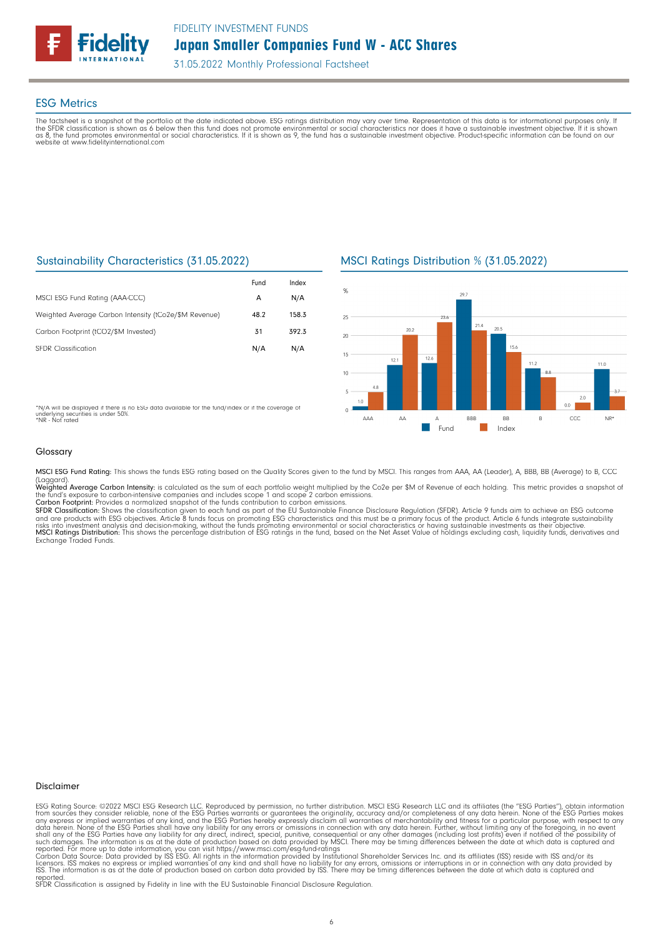

### ESG Metrics

The factsheet is a snapshot of the portfolio at the date indicated above. ESG ratings distribution may vary over time. Representation of this data is for informational purposes only. If<br>the SFDR classification is shown as website at www.fidelityinternational.com

### Sustainability Characteristics (31.05.2022)

|                                                       | Fund | Index |
|-------------------------------------------------------|------|-------|
| MSCI ESG Fund Rating (AAA-CCC)                        | А    | N/A   |
| Weighted Average Carbon Intensity (tCo2e/\$M Revenue) | 48.2 | 158.3 |
| Carbon Footprint (tCO2/\$M Invested)                  | 31   | 392.3 |
| <b>SEDR</b> Classification                            | N/A  | N/A   |

MSCI Ratings Distribution % (31.05.2022)



\*N/A will be displayed if there is no ESG data available for the fund/index or if the coverage of underlying securities is under 50%. \*NR - Not rated

### Glossary

MSCI ESG Fund Rating: This shows the funds ESG rating based on the Quality Scores given to the fund by MSCI. This ranges from AAA, AA (Leader), A, BBB, BB (Average) to B, CCC

(Laggard).<br>**Weighted Average Carbon Intensity**: is calculated as the sum of each portfolio weight multiplied by the Co2e per \$M of Revenue of each holding. This metric provides a snapshot o

the fund's exposure to carbon-intensive companies and includes scope 1 and scope 2 carbon emissions.<br>**Carbon Footprint**: Provides a normalized snapshot of the funds contribution to carbon emissions.<br>**SFDR Classification:** and are products with ESG objectives. Article 8 funds focus on promoting ESG characteristics and this must be a primary focus of the product. Article 6 funds integrate sustainability<br>risks into investment analysis and deci

### Disclaimer

ESG Rating Source: ©2022 MSCI ESG Research LLC. Reproduced by permission, no further distribution. MSCI ESG Research LLC and its affiliates (the "ESG Parties"), obtain information<br>from sources they consider reliable, none

reported. SFDR Classification is assigned by Fidelity in line with the EU Sustainable Financial Disclosure Regulation.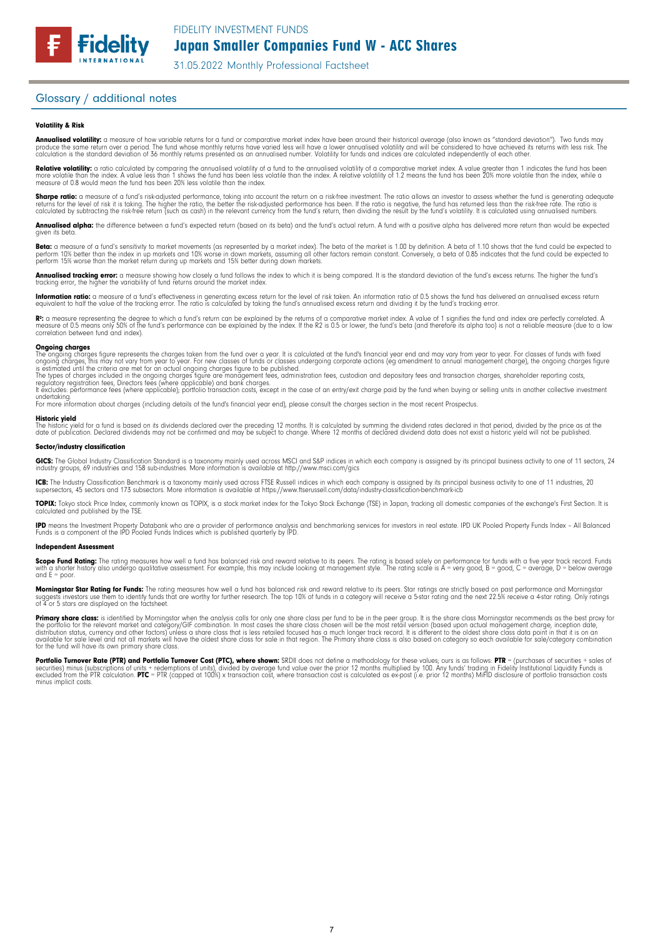### Glossary / additional notes

**Fidelity** 

### Volatility & Risk

**Annualised volatility:** a measure of how variable returns for a fund or comparative market index have been around their historical average (also known as "standard deviation"). Two funds may<br>produce the same return over a calculation is the standard deviation of 36 monthly returns presented as an annualised number. Volatility for funds and indices are calculated independently of each other

**Relative volatility:** a ratio calculated by comparing the annualised volatility of a fund to the annualised volatility of a comparative market index. A value greater than 1 indicates the fund has been<br>more volatile than t measure of 0.8 would mean the fund has been 20% less volatile than the index.

**Sharpe ratio:** a measure of a fund's risk-adjusted performance, taking into account the return on a risk-free investment. The ratio allows an investor to assess whether the fund is generating adequate the tund is generati

Annualised alpha: the difference between a fund's expected return (based on its beta) and the fund's actual return. A fund with a positive alpha has delivered more return than would be expected given its beta

**Beta:** a measure of a fund's sensitivity to market movements (as represented by a market index). The beta of the market is 1.00 by definition. A beta of 1.10 shows that the fund could be expected to<br>perform 10% better tha perform 15% worse than the market return during up markets and 15% better during down markets.

**Annualised tracking error:** a measure showing how closely a tund tollows the index to which it is being compared. It is the standard deviation of the fund's excess returns. The higher the fund's<br>tracking error, the higher

**Information ratio:** a measure ot a tund's eftectiveness in generating excess return for the level of risk taken. An information ratio of U.5 shows the fund has delivered an annualised excess return<br>equivalent to half the

Rº: a measure representing the degree to which a fund's return can be explained by the returns of a comparative market index. A value of 1 signifies the fund and index are perfectly correlated. A<br>measure of 0.5 means only correlation between fund and index).

**Ongoing charges** figure represents the charges taken from the fund over a year. It is calculated at the fund's financial year end and may vary from year to year. For classes of funds with fixed ongoing charges figure repr

For more information about charges (including details of the fund's financial year end), please consult the charges section in the most recent Prospectus.

**Historic yield**<br>The historic yield for a fund is based on its dividends declared over the preceding 12 months. It is calculated by summing the dividend rates declared in that period, divided by the price as at the date of publication. Declared dividends may not be confirmed and may be subject to change. Where 12 months of declared dividend data does not exist a historic yield will not be published.

### Sector/industry classification

GICS: The Global Industry Classification Standard is a taxonomy mainly used across MSCI and S&P indices in which each company is assigned by its principal business activity to one of 11 sectors, 24 industry groups, 69 industries and 158 sub-industries. More information is available at http://www.msci.com/gics

**ICB:** The Industry Classitication Benchmark is a taxonomy mainly used across FTSE Russell indices in which each company is assigned by its principal business activity to one of 11 industries, 20<br>supersectors, 45 sectors a

TOPIX: Tokyo stock Price Index, commonly known as TOPIX, is a stock market index for the Tokyo Stock Exchange (TSE) in Japan, tracking all domestic companies of the exchange's First Section. It is calculated and published by the TSE.

**IPD** means the Investment Property Databank who are a provider of performance analysis and benchmarking services for investors in real estate. IPD UK Pooled Property Funds Index - All Balanced<br>Funds is a component of the

### Independent Assessment

**Scope Fund Rating:** The rating measures how well a fund has balanced risk and reward relative to its peers. The rating is based solely on performance for funds with a five year track record. Funds<br>with a shorter history a and  $E = poor$ 

**Morningstar Star Rating for Funds:** The rating measures how well a tund has balanced risk and reward relative to its peers. Star ratings are strictly based on past performance and Morningstar<br>suggests investors use them t

**Primary share class:** is identified by Morningstar when the analysis calls for only one share class per fund to be in the peer group. It is the share class Morningstar recommends as the best proxy for the best proxy for c for the fund will have its own primary share class.

Portfolio Turnover Rate (PTR) and Portfolio Turnover Cost (PTC), where shown: SRDII does not define a methodology for these values; ours is as follows: PTR = (purchases of securities + sales of<br>securities) minus (subscript minus implicit costs.